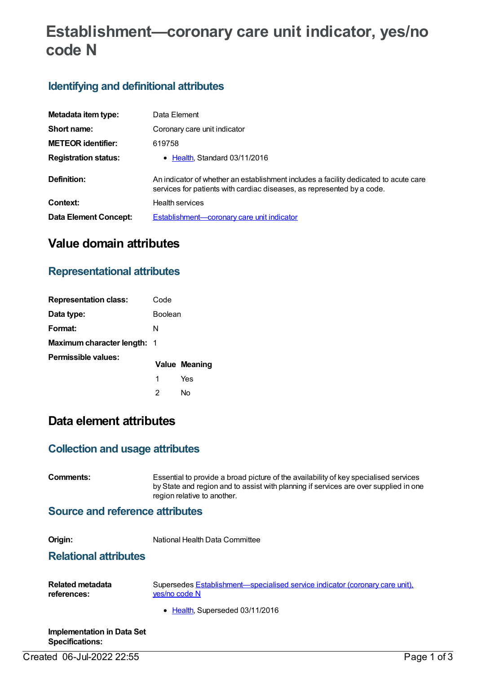# **Establishment—coronary care unit indicator, yes/no code N**

### **Identifying and definitional attributes**

| Metadata item type:          | Data Element                                                                                                                                                   |
|------------------------------|----------------------------------------------------------------------------------------------------------------------------------------------------------------|
| Short name:                  | Coronary care unit indicator                                                                                                                                   |
| <b>METEOR identifier:</b>    | 619758                                                                                                                                                         |
| <b>Registration status:</b>  | • Health, Standard 03/11/2016                                                                                                                                  |
| Definition:                  | An indicator of whether an establishment includes a facility dedicated to acute care<br>services for patients with cardiac diseases, as represented by a code. |
| Context:                     | Health services                                                                                                                                                |
| <b>Data Element Concept:</b> | Establishment—coronary care unit indicator                                                                                                                     |

## **Value domain attributes**

#### **Representational attributes**

| <b>Representation class:</b>       | Code           |                      |
|------------------------------------|----------------|----------------------|
| Data type:                         | <b>Boolean</b> |                      |
| Format:                            | N              |                      |
| <b>Maximum character length: 1</b> |                |                      |
| Permissible values:                |                | <b>Value Meaning</b> |
|                                    | 1              | Yes                  |
|                                    | 2              | Nο                   |

## **Data element attributes**

#### **Collection and usage attributes**

| Comments:                               | Essential to provide a broad picture of the availability of key specialised services<br>by State and region and to assist with planning if services are over supplied in one<br>region relative to another. |  |
|-----------------------------------------|-------------------------------------------------------------------------------------------------------------------------------------------------------------------------------------------------------------|--|
| <b>Source and reference attributes</b>  |                                                                                                                                                                                                             |  |
| Origin:<br><b>Relational attributes</b> | National Health Data Committee                                                                                                                                                                              |  |
| Related metadata<br>references:         | Supersedes Establishment—specialised service indicator (coronary care unit),<br>yes/no code N<br>• Health, Superseded 03/11/2016                                                                            |  |
| <b>Implementation in Data Set</b>       |                                                                                                                                                                                                             |  |

Created 06-Jul-2022 22:55 Page 1 of 3

**Specifications:**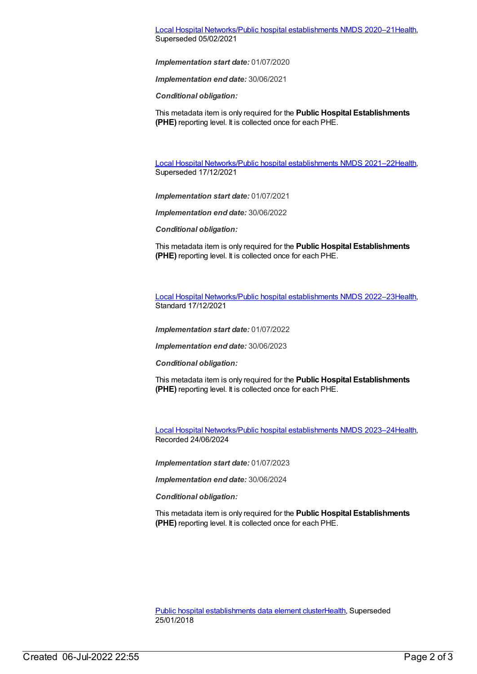Local Hospital [Networks/Public](https://meteor.aihw.gov.au/content/713848) hospital establishments NMDS 2020–21[Health](https://meteor.aihw.gov.au/RegistrationAuthority/12), Superseded 05/02/2021

*Implementation start date:* 01/07/2020

*Implementation end date:* 30/06/2021

*Conditional obligation:*

This metadata item is only required for the **Public Hospital Establishments (PHE)** reporting level. It is collected once for each PHE.

Local Hospital [Networks/Public](https://meteor.aihw.gov.au/content/727356) hospital establishments NMDS 2021–22[Health](https://meteor.aihw.gov.au/RegistrationAuthority/12), Superseded 17/12/2021

*Implementation start date:* 01/07/2021

*Implementation end date:* 30/06/2022

*Conditional obligation:*

This metadata item is only required for the **Public Hospital Establishments (PHE)** reporting level. It is collected once for each PHE.

Local Hospital [Networks/Public](https://meteor.aihw.gov.au/content/742044) hospital establishments NMDS 2022–23[Health](https://meteor.aihw.gov.au/RegistrationAuthority/12), Standard 17/12/2021

*Implementation start date:* 01/07/2022

*Implementation end date:* 30/06/2023

*Conditional obligation:*

This metadata item is only required for the **Public Hospital Establishments (PHE)** reporting level. It is collected once for each PHE.

Local Hospital [Networks/Public](https://meteor.aihw.gov.au/content/756101) hospital establishments NMDS 2023–24[Health](https://meteor.aihw.gov.au/RegistrationAuthority/12), Recorded 24/06/2024

*Implementation start date:* 01/07/2023

*Implementation end date:* 30/06/2024

*Conditional obligation:*

This metadata item is only required for the **Public Hospital Establishments (PHE)** reporting level. It is collected once for each PHE.

Public hospital [establishments](https://meteor.aihw.gov.au/content/643172) data element cluste[rHealth](https://meteor.aihw.gov.au/RegistrationAuthority/12), Superseded 25/01/2018